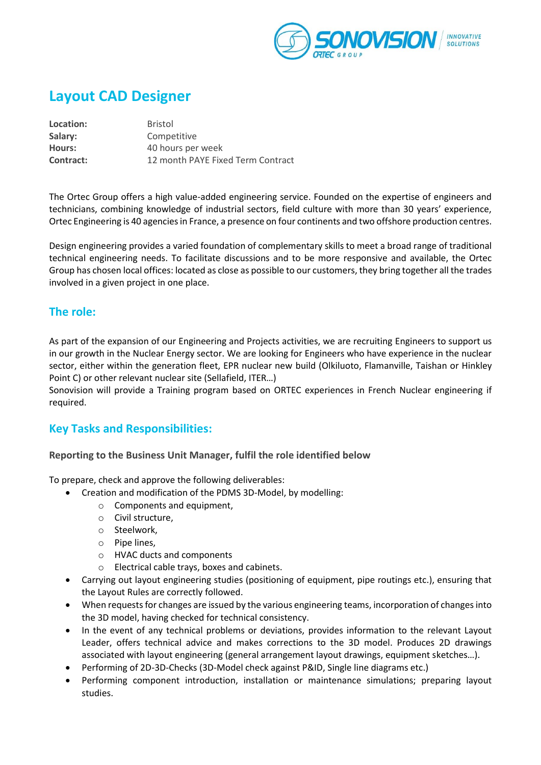

# **Layout CAD Designer**

**Location:** Bristol **Salary:** Competitive **Hours:** 40 hours per week **Contract:** 12 month PAYE Fixed Term Contract

The Ortec Group offers a high value-added engineering service. Founded on the expertise of engineers and technicians, combining knowledge of industrial sectors, field culture with more than 30 years' experience, Ortec Engineering is 40 agencies in France, a presence on four continents and two offshore production centres.

Design engineering provides a varied foundation of complementary skills to meet a broad range of traditional technical engineering needs. To facilitate discussions and to be more responsive and available, the Ortec Group has chosen local offices: located as close as possible to our customers, they bring together all the trades involved in a given project in one place.

### **The role:**

As part of the expansion of our Engineering and Projects activities, we are recruiting Engineers to support us in our growth in the Nuclear Energy sector. We are looking for Engineers who have experience in the nuclear sector, either within the generation fleet, EPR nuclear new build (Olkiluoto, Flamanville, Taishan or Hinkley Point C) or other relevant nuclear site (Sellafield, ITER…)

Sonovision will provide a Training program based on ORTEC experiences in French Nuclear engineering if required.

# **Key Tasks and Responsibilities:**

**Reporting to the Business Unit Manager, fulfil the role identified below**

To prepare, check and approve the following deliverables:

- Creation and modification of the PDMS 3D-Model, by modelling:
	- o Components and equipment,
	- o Civil structure,
	- o Steelwork,
	- o Pipe lines,
	- o HVAC ducts and components
	- o Electrical cable trays, boxes and cabinets.
- Carrying out layout engineering studies (positioning of equipment, pipe routings etc.), ensuring that the Layout Rules are correctly followed.
- When requests for changes are issued by the various engineering teams, incorporation of changes into the 3D model, having checked for technical consistency.
- In the event of any technical problems or deviations, provides information to the relevant Layout Leader, offers technical advice and makes corrections to the 3D model. Produces 2D drawings associated with layout engineering (general arrangement layout drawings, equipment sketches…).
- Performing of 2D-3D-Checks (3D-Model check against P&ID, Single line diagrams etc.)
- Performing component introduction, installation or maintenance simulations; preparing layout studies.